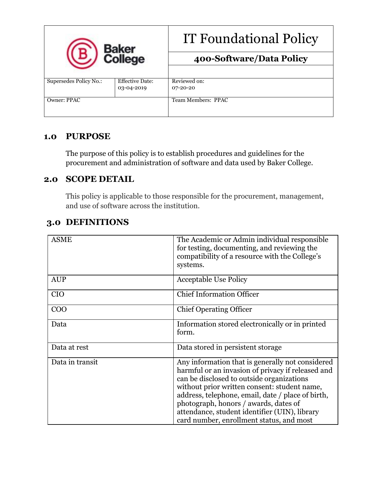| Baker<br>College       |                        | <b>IT Foundational Policy</b> |
|------------------------|------------------------|-------------------------------|
|                        |                        | 400-Software/Data Policy      |
|                        |                        |                               |
| Supersedes Policy No.: | <b>Effective Date:</b> | Reviewed on:                  |
|                        | 03-04-2019             | $07 - 20 - 20$                |
| Owner: PPAC            |                        | Team Members: PPAC            |
|                        |                        |                               |

## **1.0 PURPOSE**

The purpose of this policy is to establish procedures and guidelines for the procurement and administration of software and data used by Baker College.

## **2.0 SCOPE DETAIL**

This policy is applicable to those responsible for the procurement, management, and use of software across the institution.

# **3.0 DEFINITIONS**

| <b>ASME</b>     | The Academic or Admin individual responsible<br>for testing, documenting, and reviewing the<br>compatibility of a resource with the College's<br>systems.                                                                                                                                                                                                                                     |
|-----------------|-----------------------------------------------------------------------------------------------------------------------------------------------------------------------------------------------------------------------------------------------------------------------------------------------------------------------------------------------------------------------------------------------|
| <b>AUP</b>      | <b>Acceptable Use Policy</b>                                                                                                                                                                                                                                                                                                                                                                  |
| <b>CIO</b>      | <b>Chief Information Officer</b>                                                                                                                                                                                                                                                                                                                                                              |
| COO             | <b>Chief Operating Officer</b>                                                                                                                                                                                                                                                                                                                                                                |
| Data            | Information stored electronically or in printed<br>form.                                                                                                                                                                                                                                                                                                                                      |
| Data at rest    | Data stored in persistent storage                                                                                                                                                                                                                                                                                                                                                             |
| Data in transit | Any information that is generally not considered<br>harmful or an invasion of privacy if released and<br>can be disclosed to outside organizations<br>without prior written consent: student name,<br>address, telephone, email, date / place of birth,<br>photograph, honors / awards, dates of<br>attendance, student identifier (UIN), library<br>card number, enrollment status, and most |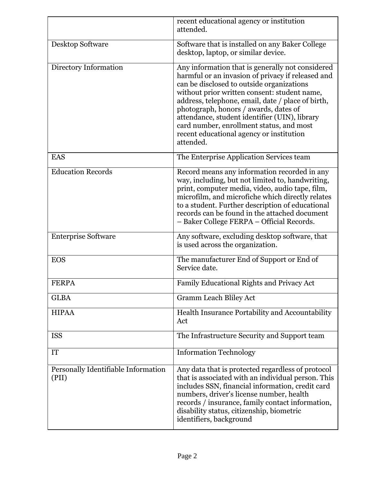|                                              | recent educational agency or institution<br>attended.                                                                                                                                                                                                                                                                                                                                                                                                  |
|----------------------------------------------|--------------------------------------------------------------------------------------------------------------------------------------------------------------------------------------------------------------------------------------------------------------------------------------------------------------------------------------------------------------------------------------------------------------------------------------------------------|
| Desktop Software                             | Software that is installed on any Baker College<br>desktop, laptop, or similar device.                                                                                                                                                                                                                                                                                                                                                                 |
| Directory Information                        | Any information that is generally not considered<br>harmful or an invasion of privacy if released and<br>can be disclosed to outside organizations<br>without prior written consent: student name,<br>address, telephone, email, date / place of birth,<br>photograph, honors / awards, dates of<br>attendance, student identifier (UIN), library<br>card number, enrollment status, and most<br>recent educational agency or institution<br>attended. |
| <b>EAS</b>                                   | The Enterprise Application Services team                                                                                                                                                                                                                                                                                                                                                                                                               |
| <b>Education Records</b>                     | Record means any information recorded in any<br>way, including, but not limited to, handwriting,<br>print, computer media, video, audio tape, film,<br>microfilm, and microfiche which directly relates<br>to a student. Further description of educational<br>records can be found in the attached document<br>- Baker College FERPA - Official Records.                                                                                              |
| <b>Enterprise Software</b>                   | Any software, excluding desktop software, that<br>is used across the organization.                                                                                                                                                                                                                                                                                                                                                                     |
| <b>EOS</b>                                   | The manufacturer End of Support or End of<br>Service date.                                                                                                                                                                                                                                                                                                                                                                                             |
| <b>FERPA</b>                                 | Family Educational Rights and Privacy Act                                                                                                                                                                                                                                                                                                                                                                                                              |
| <b>GLBA</b>                                  | <b>Gramm Leach Bliley Act</b>                                                                                                                                                                                                                                                                                                                                                                                                                          |
| <b>HIPAA</b>                                 | Health Insurance Portability and Accountability<br>Act                                                                                                                                                                                                                                                                                                                                                                                                 |
| <b>ISS</b>                                   | The Infrastructure Security and Support team                                                                                                                                                                                                                                                                                                                                                                                                           |
| <b>IT</b>                                    | <b>Information Technology</b>                                                                                                                                                                                                                                                                                                                                                                                                                          |
| Personally Identifiable Information<br>(PII) | Any data that is protected regardless of protocol<br>that is associated with an individual person. This<br>includes SSN, financial information, credit card<br>numbers, driver's license number, health<br>records / insurance, family contact information,<br>disability status, citizenship, biometric<br>identifiers, background                                                                                                                    |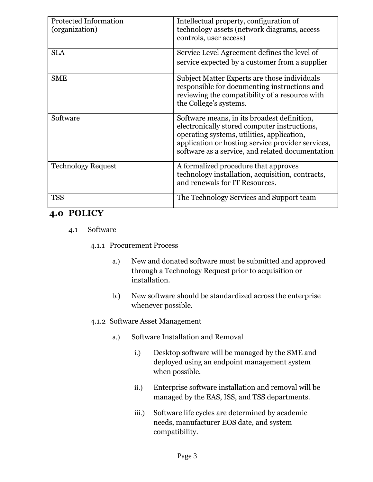| <b>Protected Information</b><br>(organization) | Intellectual property, configuration of<br>technology assets (network diagrams, access<br>controls, user access)                                                                                                                                   |
|------------------------------------------------|----------------------------------------------------------------------------------------------------------------------------------------------------------------------------------------------------------------------------------------------------|
| <b>SLA</b>                                     | Service Level Agreement defines the level of<br>service expected by a customer from a supplier                                                                                                                                                     |
| <b>SME</b>                                     | Subject Matter Experts are those individuals<br>responsible for documenting instructions and<br>reviewing the compatibility of a resource with<br>the College's systems.                                                                           |
| Software                                       | Software means, in its broadest definition,<br>electronically stored computer instructions,<br>operating systems, utilities, application,<br>application or hosting service provider services,<br>software as a service, and related documentation |
| <b>Technology Request</b>                      | A formalized procedure that approves<br>technology installation, acquisition, contracts,<br>and renewals for IT Resources.                                                                                                                         |
| <b>TSS</b>                                     | The Technology Services and Support team                                                                                                                                                                                                           |

## **4.0 POLICY**

- 4.1 Software
	- 4.1.1 Procurement Process
		- a.) New and donated software must be submitted and approved through a Technology Request prior to acquisition or installation.
		- b.) New software should be standardized across the enterprise whenever possible.

### 4.1.2 Software Asset Management

- a.) Software Installation and Removal
	- i.) Desktop software will be managed by the SME and deployed using an endpoint management system when possible.
	- ii.) Enterprise software installation and removal will be managed by the EAS, ISS, and TSS departments.
	- iii.) Software life cycles are determined by academic needs, manufacturer EOS date, and system compatibility.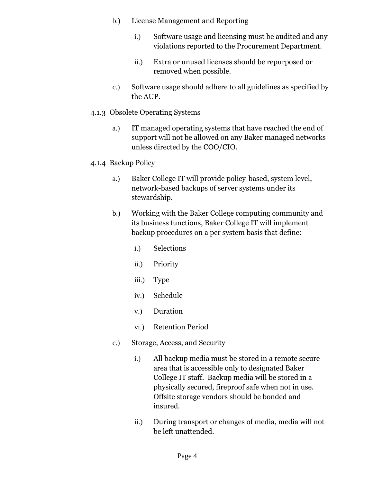- b.) License Management and Reporting
	- i.) Software usage and licensing must be audited and any violations reported to the Procurement Department.
	- ii.) Extra or unused licenses should be repurposed or removed when possible.
- c.) Software usage should adhere to all guidelines as specified by the AUP.
- 4.1.3 Obsolete Operating Systems
	- a.) IT managed operating systems that have reached the end of support will not be allowed on any Baker managed networks unless directed by the COO/CIO.
- 4.1.4 Backup Policy
	- a.) Baker College IT will provide policy-based, system level, network-based backups of server systems under its stewardship.
	- b.) Working with the Baker College computing community and its business functions, Baker College IT will implement backup procedures on a per system basis that define:
		- i.) Selections
		- ii.) Priority
		- iii.) Type
		- iv.) Schedule
		- v.) Duration
		- vi.) Retention Period
	- c.) Storage, Access, and Security
		- i.) All backup media must be stored in a remote secure area that is accessible only to designated Baker College IT staff. Backup media will be stored in a physically secured, fireproof safe when not in use. Offsite storage vendors should be bonded and insured.
		- ii.) During transport or changes of media, media will not be left unattended.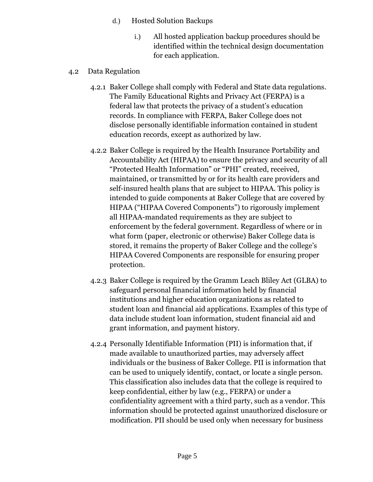- d.) Hosted Solution Backups
	- i.) All hosted application backup procedures should be identified within the technical design documentation for each application.
- 4.2 Data Regulation
	- 4.2.1 Baker College shall comply with Federal and State data regulations. The Family Educational Rights and Privacy Act (FERPA) is a federal law that protects the privacy of a student's education records. In compliance with FERPA, Baker College does not disclose personally identifiable information contained in student education records, except as authorized by law.
	- 4.2.2 Baker College is required by the Health Insurance Portability and Accountability Act (HIPAA) to ensure the privacy and security of all "Protected Health Information" or "PHI" created, received, maintained, or transmitted by or for its health care providers and self-insured health plans that are subject to HIPAA. This policy is intended to guide components at Baker College that are covered by HIPAA ("HIPAA Covered Components") to rigorously implement all HIPAA-mandated requirements as they are subject to enforcement by the federal government. Regardless of where or in what form (paper, electronic or otherwise) Baker College data is stored, it remains the property of Baker College and the college's HIPAA Covered Components are responsible for ensuring proper protection.
	- 4.2.3 Baker College is required by the Gramm Leach Bliley Act (GLBA) to safeguard personal financial information held by financial institutions and higher education organizations as related to student loan and financial aid applications. Examples of this type of data include student loan information, student financial aid and grant information, and payment history.
	- 4.2.4 Personally Identifiable Information (PII) is information that, if made available to unauthorized parties, may adversely affect individuals or the business of Baker College. PII is information that can be used to uniquely identify, contact, or locate a single person. This classification also includes data that the college is required to keep confidential, either by law (e.g., FERPA) or under a confidentiality agreement with a third party, such as a vendor. This information should be protected against unauthorized disclosure or modification. PII should be used only when necessary for business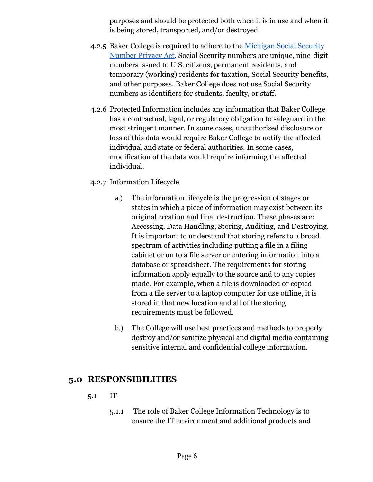purposes and should be protected both when it is in use and when it is being stored, transported, and/or destroyed.

- 4.2.5 Baker College is required to adhere to the [Michigan Social Security](https://www.michigan.gov/documents/Social_Security_Number_Privacy_Act_118553_7.pdf)  [Number Privacy Act.](https://www.michigan.gov/documents/Social_Security_Number_Privacy_Act_118553_7.pdf) Social Security numbers are unique, nine-digit numbers issued to U.S. citizens, permanent residents, and temporary (working) residents for taxation, Social Security benefits, and other purposes. Baker College does not use Social Security numbers as identifiers for students, faculty, or staff.
- 4.2.6 Protected Information includes any information that Baker College has a contractual, legal, or regulatory obligation to safeguard in the most stringent manner. In some cases, unauthorized disclosure or loss of this data would require Baker College to notify the affected individual and state or federal authorities. In some cases, modification of the data would require informing the affected individual.

### 4.2.7 Information Lifecycle

- a.) The information lifecycle is the progression of stages or states in which a piece of information may exist between its original creation and final destruction. These phases are: Accessing, Data Handling, Storing, Auditing, and Destroying. It is important to understand that storing refers to a broad spectrum of activities including putting a file in a filing cabinet or on to a file server or entering information into a database or spreadsheet. The requirements for storing information apply equally to the source and to any copies made. For example, when a file is downloaded or copied from a file server to a laptop computer for use offline, it is stored in that new location and all of the storing requirements must be followed.
- b.) The College will use best practices and methods to properly destroy and/or sanitize physical and digital media containing sensitive internal and confidential college information.

## **5.0 RESPONSIBILITIES**

#### 5.1 IT

5.1.1 The role of Baker College Information Technology is to ensure the IT environment and additional products and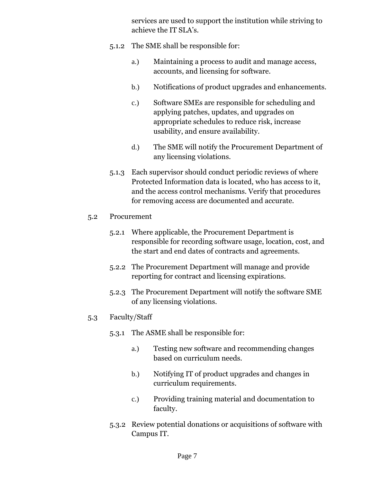services are used to support the institution while striving to achieve the IT SLA's.

- 5.1.2 The SME shall be responsible for:
	- a.) Maintaining a process to audit and manage access, accounts, and licensing for software.
	- b.) Notifications of product upgrades and enhancements.
	- c.) Software SMEs are responsible for scheduling and applying patches, updates, and upgrades on appropriate schedules to reduce risk, increase usability, and ensure availability.
	- d.) The SME will notify the Procurement Department of any licensing violations.
- 5.1.3 Each supervisor should conduct periodic reviews of where Protected Information data is located, who has access to it, and the access control mechanisms. Verify that procedures for removing access are documented and accurate.
- 5.2 Procurement
	- 5.2.1 Where applicable, the Procurement Department is responsible for recording software usage, location, cost, and the start and end dates of contracts and agreements.
	- 5.2.2 The Procurement Department will manage and provide reporting for contract and licensing expirations.
	- 5.2.3 The Procurement Department will notify the software SME of any licensing violations.
- 5.3 Faculty/Staff
	- 5.3.1 The ASME shall be responsible for:
		- a.) Testing new software and recommending changes based on curriculum needs.
		- b.) Notifying IT of product upgrades and changes in curriculum requirements.
		- c.) Providing training material and documentation to faculty.
	- 5.3.2 Review potential donations or acquisitions of software with Campus IT.